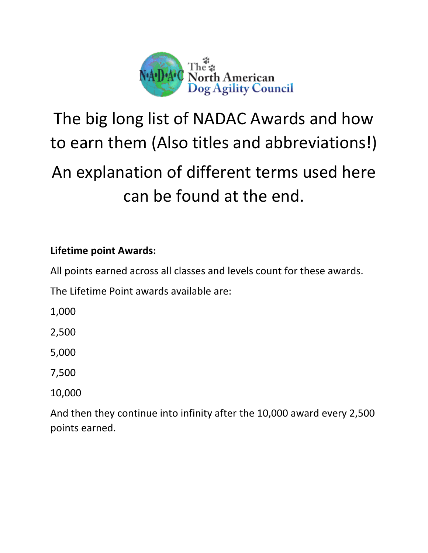

# The big long list of NADAC Awards and how to earn them (Also titles and abbreviations!) An explanation of different terms used here can be found at the end.

# **Lifetime point Awards:**

All points earned across all classes and levels count for these awards.

The Lifetime Point awards available are:

1,000

2,500

5,000

7,500

10,000

And then they continue into infinity after the 10,000 award every 2,500 points earned.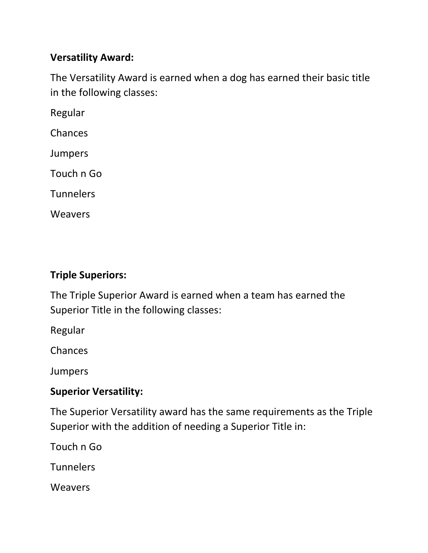#### **Versatility Award:**

The Versatility Award is earned when a dog has earned their basic title in the following classes:

Regular

Chances

Jumpers

Touch n Go

**Tunnelers** 

**Weavers** 

### **Triple Superiors:**

The Triple Superior Award is earned when a team has earned the Superior Title in the following classes:

Regular

Chances

Jumpers

#### **Superior Versatility:**

The Superior Versatility award has the same requirements as the Triple Superior with the addition of needing a Superior Title in:

Touch n Go

**Tunnelers** 

**Weavers**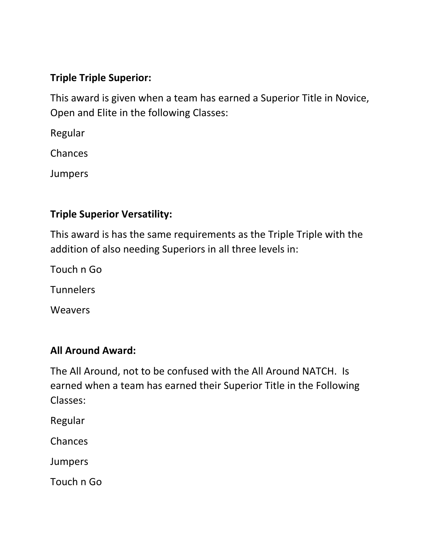# **Triple Triple Superior:**

This award is given when a team has earned a Superior Title in Novice, Open and Elite in the following Classes:

Regular

Chances

Jumpers

# **Triple Superior Versatility:**

This award is has the same requirements as the Triple Triple with the addition of also needing Superiors in all three levels in:

Touch n Go

**Tunnelers** 

**Weavers** 

# **All Around Award:**

The All Around, not to be confused with the All Around NATCH. Is earned when a team has earned their Superior Title in the Following Classes:

Regular

Chances

Jumpers

Touch n Go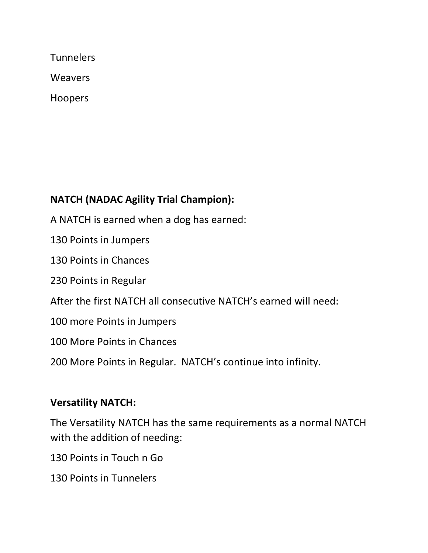**Tunnelers** 

**Weavers** 

Hoopers

# **NATCH (NADAC Agility Trial Champion):**

A NATCH is earned when a dog has earned:

130 Points in Jumpers

130 Points in Chances

230 Points in Regular

After the first NATCH all consecutive NATCH's earned will need:

100 more Points in Jumpers

100 More Points in Chances

200 More Points in Regular. NATCH's continue into infinity.

# **Versatility NATCH:**

The Versatility NATCH has the same requirements as a normal NATCH with the addition of needing:

130 Points in Touch n Go

130 Points in Tunnelers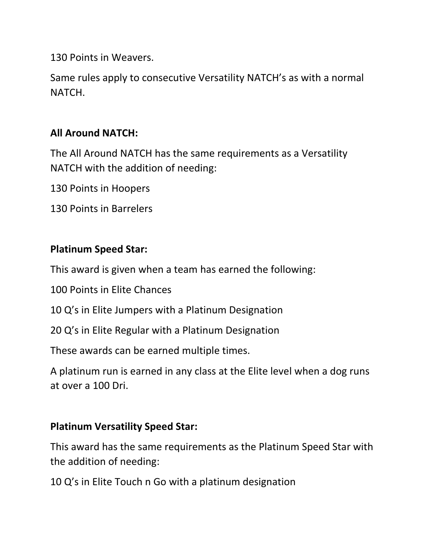130 Points in Weavers.

Same rules apply to consecutive Versatility NATCH's as with a normal NATCH.

# **All Around NATCH:**

The All Around NATCH has the same requirements as a Versatility NATCH with the addition of needing:

130 Points in Hoopers

130 Points in Barrelers

#### **Platinum Speed Star:**

This award is given when a team has earned the following:

100 Points in Elite Chances

10 Q's in Elite Jumpers with a Platinum Designation

20 Q's in Elite Regular with a Platinum Designation

These awards can be earned multiple times.

A platinum run is earned in any class at the Elite level when a dog runs at over a 100 Dri.

#### **Platinum Versatility Speed Star:**

This award has the same requirements as the Platinum Speed Star with the addition of needing:

10 Q's in Elite Touch n Go with a platinum designation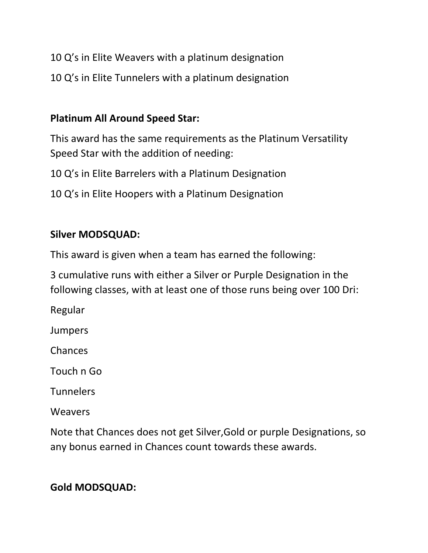- 10 Q's in Elite Weavers with a platinum designation
- 10 Q's in Elite Tunnelers with a platinum designation

#### **Platinum All Around Speed Star:**

This award has the same requirements as the Platinum Versatility Speed Star with the addition of needing:

10 Q's in Elite Barrelers with a Platinum Designation

10 Q's in Elite Hoopers with a Platinum Designation

#### **Silver MODSQUAD:**

This award is given when a team has earned the following:

3 cumulative runs with either a Silver or Purple Designation in the following classes, with at least one of those runs being over 100 Dri:

Regular

Jumpers

Chances

Touch n Go

**Tunnelers** 

**Weavers** 

Note that Chances does not get Silver,Gold or purple Designations, so any bonus earned in Chances count towards these awards.

# **Gold MODSQUAD:**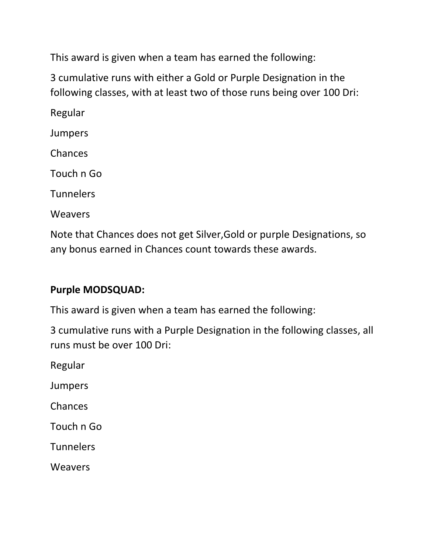This award is given when a team has earned the following:

3 cumulative runs with either a Gold or Purple Designation in the following classes, with at least two of those runs being over 100 Dri:

Regular Jumpers Chances Touch n Go **Tunnelers** Weavers

Note that Chances does not get Silver,Gold or purple Designations, so any bonus earned in Chances count towards these awards.

#### **Purple MODSQUAD:**

This award is given when a team has earned the following:

3 cumulative runs with a Purple Designation in the following classes, all runs must be over 100 Dri:

Regular

Jumpers

Chances

Touch n Go

**Tunnelers** 

Weavers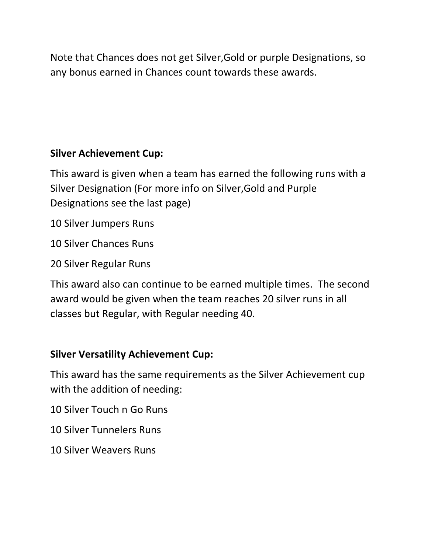Note that Chances does not get Silver,Gold or purple Designations, so any bonus earned in Chances count towards these awards.

# **Silver Achievement Cup:**

This award is given when a team has earned the following runs with a Silver Designation (For more info on Silver,Gold and Purple Designations see the last page)

10 Silver Jumpers Runs

10 Silver Chances Runs

20 Silver Regular Runs

This award also can continue to be earned multiple times. The second award would be given when the team reaches 20 silver runs in all classes but Regular, with Regular needing 40.

# **Silver Versatility Achievement Cup:**

This award has the same requirements as the Silver Achievement cup with the addition of needing:

10 Silver Touch n Go Runs

10 Silver Tunnelers Runs

10 Silver Weavers Runs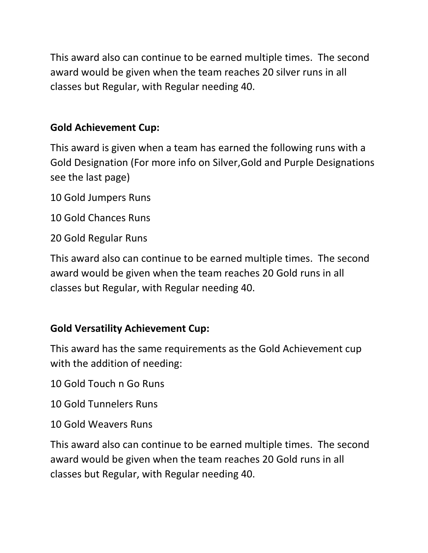This award also can continue to be earned multiple times. The second award would be given when the team reaches 20 silver runs in all classes but Regular, with Regular needing 40.

# **Gold Achievement Cup:**

This award is given when a team has earned the following runs with a Gold Designation (For more info on Silver,Gold and Purple Designations see the last page)

10 Gold Jumpers Runs

10 Gold Chances Runs

20 Gold Regular Runs

This award also can continue to be earned multiple times. The second award would be given when the team reaches 20 Gold runs in all classes but Regular, with Regular needing 40.

# **Gold Versatility Achievement Cup:**

This award has the same requirements as the Gold Achievement cup with the addition of needing:

10 Gold Touch n Go Runs

10 Gold Tunnelers Runs

10 Gold Weavers Runs

This award also can continue to be earned multiple times. The second award would be given when the team reaches 20 Gold runs in all classes but Regular, with Regular needing 40.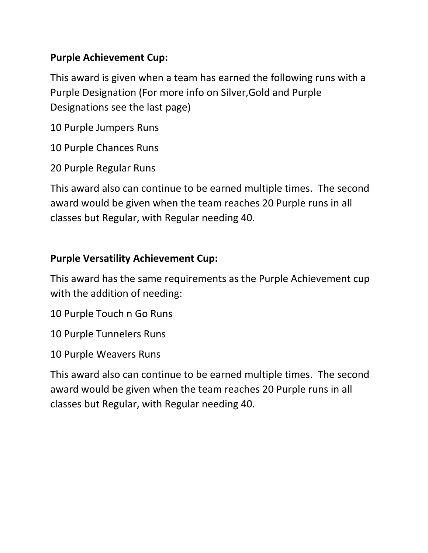### **Purple Achievement Cup:**

This award is given when a team has earned the following runs with a Purple Designation (For more info on Silver,Gold and Purple Designations see the last page)

10 Purple Jumpers Runs

10 Purple Chances Runs

20 Purple Regular Runs

This award also can continue to be earned multiple times. The second award would be given when the team reaches 20 Purple runs in all classes but Regular, with Regular needing 40.

## **Purple Versatility Achievement Cup:**

This award has the same requirements as the Purple Achievement cup with the addition of needing:

10 Purple Touch n Go Runs

10 Purple Tunnelers Runs

10 Purple Weavers Runs

This award also can continue to be earned multiple times. The second award would be given when the team reaches 20 Purple runs in all classes but Regular, with Regular needing 40.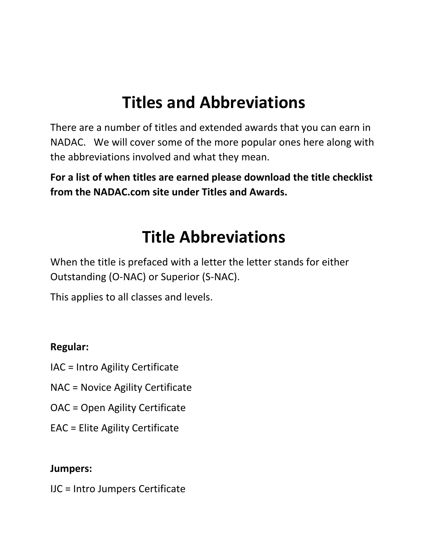# **Titles and Abbreviations**

There are a number of titles and extended awards that you can earn in NADAC. We will cover some of the more popular ones here along with the abbreviations involved and what they mean.

**For a list of when titles are earned please download the title checklist from the NADAC.com site under Titles and Awards.**

# **Title Abbreviations**

When the title is prefaced with a letter the letter stands for either Outstanding (O-NAC) or Superior (S-NAC).

This applies to all classes and levels.

#### **Regular:**

- IAC = Intro Agility Certificate
- NAC = Novice Agility Certificate
- OAC = Open Agility Certificate
- EAC = Elite Agility Certificate

#### **Jumpers:**

IJC = Intro Jumpers Certificate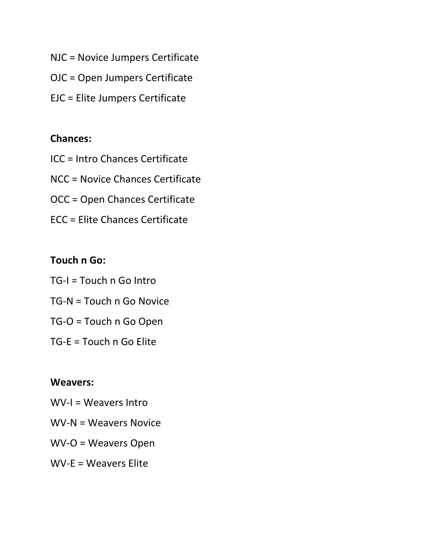- NJC = Novice Jumpers Certificate
- OJC = Open Jumpers Certificate
- EJC = Elite Jumpers Certificate

#### **Chances:**

- ICC = Intro Chances Certificate
- NCC = Novice Chances Certificate
- OCC = Open Chances Certificate
- ECC = Elite Chances Certificate

#### **Touch n Go:**

- TG-I = Touch n Go Intro TG-N = Touch n Go Novice
- TG-O = Touch n Go Open
- TG-E = Touch n Go Elite

#### **Weavers:**

- WV-I = Weavers Intro
- WV-N = Weavers Novice
- WV-O = Weavers Open
- WV-E = Weavers Elite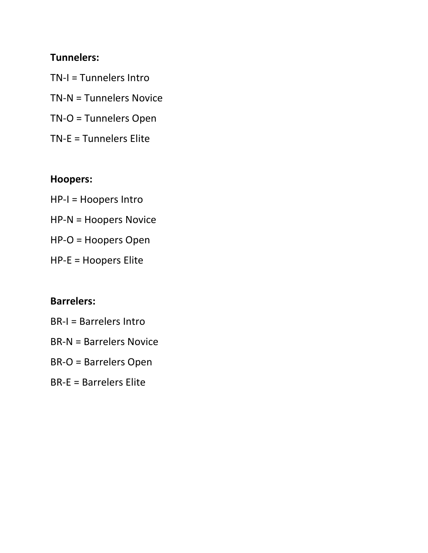#### **Tunnelers:**

TN-I = Tunnelers Intro TN-N = Tunnelers Novice

- TN-O = Tunnelers Open
- TN-E = Tunnelers Elite

# **Hoopers:**

- HP-I = Hoopers Intro
- HP-N = Hoopers Novice
- HP-O = Hoopers Open
- HP-E = Hoopers Elite

### **Barrelers:**

- BR-I = Barrelers Intro
- BR-N = Barrelers Novice
- BR-O = Barrelers Open
- BR-E = Barrelers Elite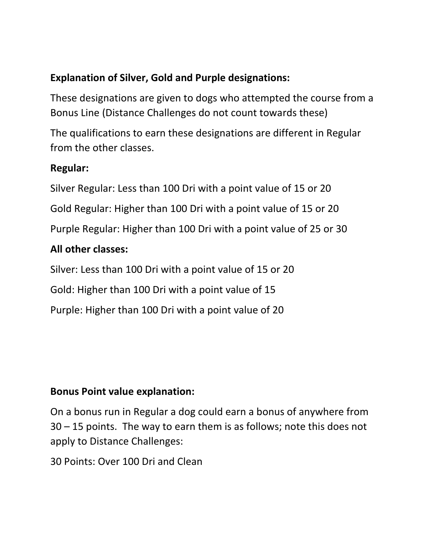# **Explanation of Silver, Gold and Purple designations:**

These designations are given to dogs who attempted the course from a Bonus Line (Distance Challenges do not count towards these)

The qualifications to earn these designations are different in Regular from the other classes.

#### **Regular:**

Silver Regular: Less than 100 Dri with a point value of 15 or 20 Gold Regular: Higher than 100 Dri with a point value of 15 or 20 Purple Regular: Higher than 100 Dri with a point value of 25 or 30 **All other classes:**

Silver: Less than 100 Dri with a point value of 15 or 20

Gold: Higher than 100 Dri with a point value of 15

Purple: Higher than 100 Dri with a point value of 20

#### **Bonus Point value explanation:**

On a bonus run in Regular a dog could earn a bonus of anywhere from 30 – 15 points. The way to earn them is as follows; note this does not apply to Distance Challenges:

30 Points: Over 100 Dri and Clean